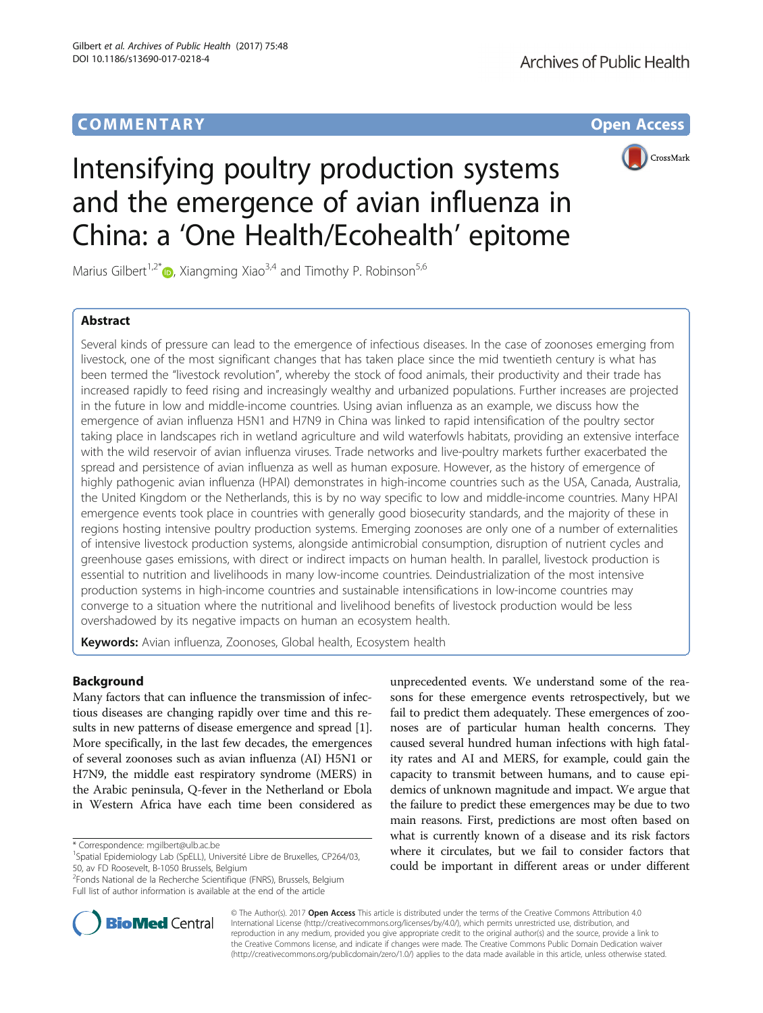# **COMMENTARY COMMENTARY Open Access**



# Intensifying poultry production systems and the emergence of avian influenza in China: a 'One Health/Ecohealth' epitome

Marius Gilbert<sup>1,2\*</sup>  $\bullet$ , Xiangming Xiao<sup>3,4</sup> and Timothy P. Robinson<sup>5,6</sup>

# Abstract

Several kinds of pressure can lead to the emergence of infectious diseases. In the case of zoonoses emerging from livestock, one of the most significant changes that has taken place since the mid twentieth century is what has been termed the "livestock revolution", whereby the stock of food animals, their productivity and their trade has increased rapidly to feed rising and increasingly wealthy and urbanized populations. Further increases are projected in the future in low and middle-income countries. Using avian influenza as an example, we discuss how the emergence of avian influenza H5N1 and H7N9 in China was linked to rapid intensification of the poultry sector taking place in landscapes rich in wetland agriculture and wild waterfowls habitats, providing an extensive interface with the wild reservoir of avian influenza viruses. Trade networks and live-poultry markets further exacerbated the spread and persistence of avian influenza as well as human exposure. However, as the history of emergence of highly pathogenic avian influenza (HPAI) demonstrates in high-income countries such as the USA, Canada, Australia, the United Kingdom or the Netherlands, this is by no way specific to low and middle-income countries. Many HPAI emergence events took place in countries with generally good biosecurity standards, and the majority of these in regions hosting intensive poultry production systems. Emerging zoonoses are only one of a number of externalities of intensive livestock production systems, alongside antimicrobial consumption, disruption of nutrient cycles and greenhouse gases emissions, with direct or indirect impacts on human health. In parallel, livestock production is essential to nutrition and livelihoods in many low-income countries. Deindustrialization of the most intensive production systems in high-income countries and sustainable intensifications in low-income countries may converge to a situation where the nutritional and livelihood benefits of livestock production would be less overshadowed by its negative impacts on human an ecosystem health.

Keywords: Avian influenza, Zoonoses, Global health, Ecosystem health

# Background

Many factors that can influence the transmission of infectious diseases are changing rapidly over time and this results in new patterns of disease emergence and spread [[1](#page-5-0)]. More specifically, in the last few decades, the emergences of several zoonoses such as avian influenza (AI) H5N1 or H7N9, the middle east respiratory syndrome (MERS) in the Arabic peninsula, Q-fever in the Netherland or Ebola in Western Africa have each time been considered as

\* Correspondence: [mgilbert@ulb.ac.be](mailto:mgilbert@ulb.ac.be) <sup>1</sup>

<sup>2</sup> Fonds National de la Recherche Scientifique (FNRS), Brussels, Belgium Full list of author information is available at the end of the article

unprecedented events. We understand some of the reasons for these emergence events retrospectively, but we fail to predict them adequately. These emergences of zoonoses are of particular human health concerns. They caused several hundred human infections with high fatality rates and AI and MERS, for example, could gain the capacity to transmit between humans, and to cause epidemics of unknown magnitude and impact. We argue that the failure to predict these emergences may be due to two main reasons. First, predictions are most often based on what is currently known of a disease and its risk factors where it circulates, but we fail to consider factors that could be important in different areas or under different



© The Author(s). 2017 **Open Access** This article is distributed under the terms of the Creative Commons Attribution 4.0 International License [\(http://creativecommons.org/licenses/by/4.0/](http://creativecommons.org/licenses/by/4.0/)), which permits unrestricted use, distribution, and reproduction in any medium, provided you give appropriate credit to the original author(s) and the source, provide a link to the Creative Commons license, and indicate if changes were made. The Creative Commons Public Domain Dedication waiver [\(http://creativecommons.org/publicdomain/zero/1.0/](http://creativecommons.org/publicdomain/zero/1.0/)) applies to the data made available in this article, unless otherwise stated.

<sup>&</sup>lt;sup>1</sup>Spatial Epidemiology Lab (SpELL), Université Libre de Bruxelles, CP264/03, 50, av FD Roosevelt, B-1050 Brussels, Belgium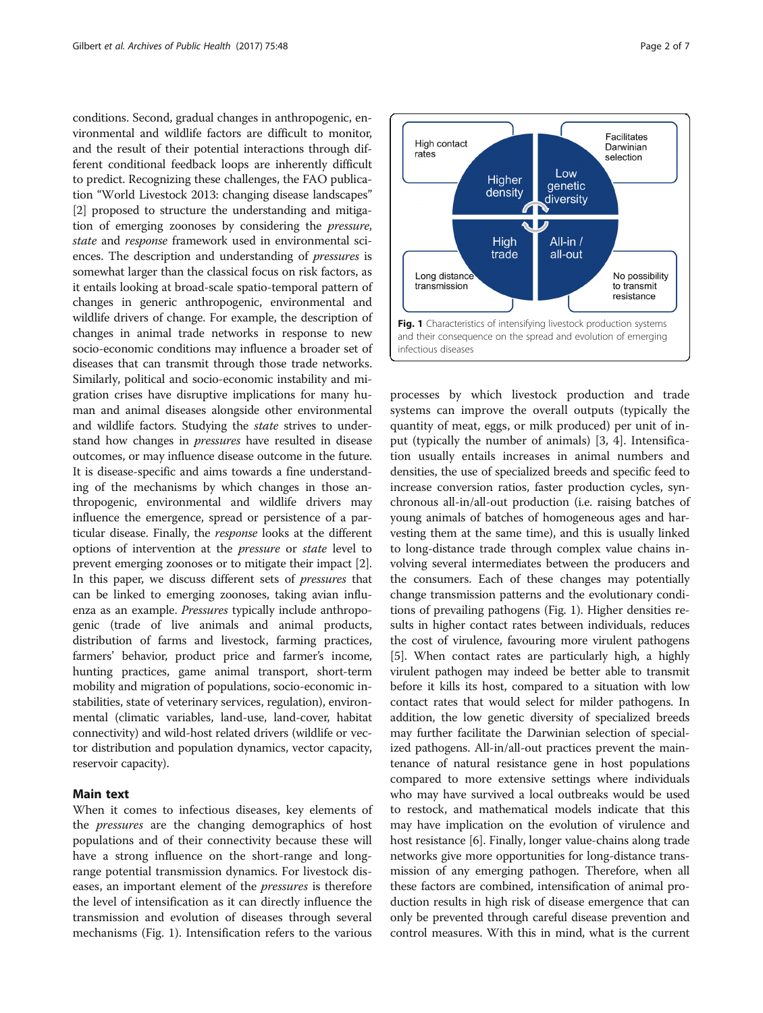conditions. Second, gradual changes in anthropogenic, environmental and wildlife factors are difficult to monitor, and the result of their potential interactions through different conditional feedback loops are inherently difficult to predict. Recognizing these challenges, the FAO publication "World Livestock 2013: changing disease landscapes" [[2\]](#page-5-0) proposed to structure the understanding and mitigation of emerging zoonoses by considering the pressure, state and response framework used in environmental sciences. The description and understanding of pressures is somewhat larger than the classical focus on risk factors, as it entails looking at broad-scale spatio-temporal pattern of changes in generic anthropogenic, environmental and wildlife drivers of change. For example, the description of changes in animal trade networks in response to new socio-economic conditions may influence a broader set of diseases that can transmit through those trade networks. Similarly, political and socio-economic instability and migration crises have disruptive implications for many human and animal diseases alongside other environmental and wildlife factors. Studying the state strives to understand how changes in pressures have resulted in disease outcomes, or may influence disease outcome in the future. It is disease-specific and aims towards a fine understanding of the mechanisms by which changes in those anthropogenic, environmental and wildlife drivers may influence the emergence, spread or persistence of a particular disease. Finally, the response looks at the different options of intervention at the pressure or state level to prevent emerging zoonoses or to mitigate their impact [[2](#page-5-0)]. In this paper, we discuss different sets of pressures that can be linked to emerging zoonoses, taking avian influenza as an example. Pressures typically include anthropogenic (trade of live animals and animal products, distribution of farms and livestock, farming practices, farmers' behavior, product price and farmer's income, hunting practices, game animal transport, short-term mobility and migration of populations, socio-economic instabilities, state of veterinary services, regulation), environmental (climatic variables, land-use, land-cover, habitat connectivity) and wild-host related drivers (wildlife or vector distribution and population dynamics, vector capacity, reservoir capacity).

## Main text

When it comes to infectious diseases, key elements of the pressures are the changing demographics of host populations and of their connectivity because these will have a strong influence on the short-range and longrange potential transmission dynamics. For livestock diseases, an important element of the pressures is therefore the level of intensification as it can directly influence the transmission and evolution of diseases through several mechanisms (Fig. 1). Intensification refers to the various



processes by which livestock production and trade systems can improve the overall outputs (typically the quantity of meat, eggs, or milk produced) per unit of input (typically the number of animals) [\[3, 4\]](#page-5-0). Intensification usually entails increases in animal numbers and densities, the use of specialized breeds and specific feed to increase conversion ratios, faster production cycles, synchronous all-in/all-out production (i.e. raising batches of young animals of batches of homogeneous ages and harvesting them at the same time), and this is usually linked to long-distance trade through complex value chains involving several intermediates between the producers and the consumers. Each of these changes may potentially change transmission patterns and the evolutionary conditions of prevailing pathogens (Fig. 1). Higher densities results in higher contact rates between individuals, reduces the cost of virulence, favouring more virulent pathogens [[5\]](#page-5-0). When contact rates are particularly high, a highly virulent pathogen may indeed be better able to transmit before it kills its host, compared to a situation with low contact rates that would select for milder pathogens. In addition, the low genetic diversity of specialized breeds may further facilitate the Darwinian selection of specialized pathogens. All-in/all-out practices prevent the maintenance of natural resistance gene in host populations compared to more extensive settings where individuals who may have survived a local outbreaks would be used to restock, and mathematical models indicate that this may have implication on the evolution of virulence and host resistance [\[6](#page-5-0)]. Finally, longer value-chains along trade networks give more opportunities for long-distance transmission of any emerging pathogen. Therefore, when all these factors are combined, intensification of animal production results in high risk of disease emergence that can only be prevented through careful disease prevention and control measures. With this in mind, what is the current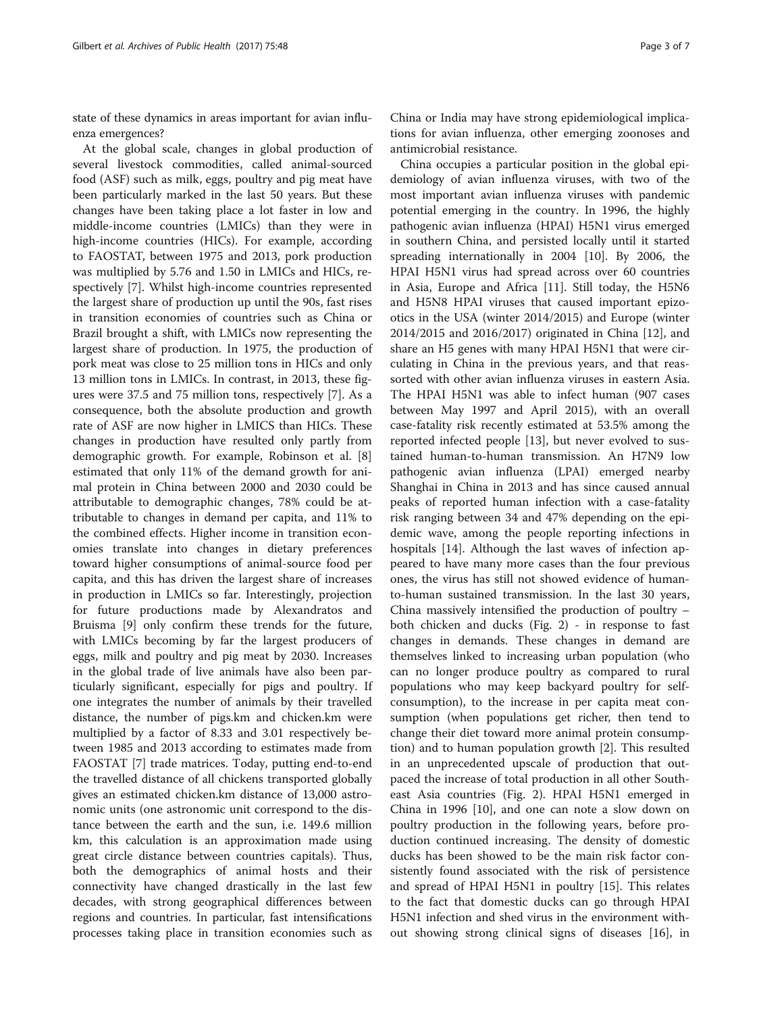state of these dynamics in areas important for avian influenza emergences?

At the global scale, changes in global production of several livestock commodities, called animal-sourced food (ASF) such as milk, eggs, poultry and pig meat have been particularly marked in the last 50 years. But these changes have been taking place a lot faster in low and middle-income countries (LMICs) than they were in high-income countries (HICs). For example, according to FAOSTAT, between 1975 and 2013, pork production was multiplied by 5.76 and 1.50 in LMICs and HICs, respectively [[7\]](#page-5-0). Whilst high-income countries represented the largest share of production up until the 90s, fast rises in transition economies of countries such as China or Brazil brought a shift, with LMICs now representing the largest share of production. In 1975, the production of pork meat was close to 25 million tons in HICs and only 13 million tons in LMICs. In contrast, in 2013, these figures were 37.5 and 75 million tons, respectively [[7\]](#page-5-0). As a consequence, both the absolute production and growth rate of ASF are now higher in LMICS than HICs. These changes in production have resulted only partly from demographic growth. For example, Robinson et al. [\[8](#page-5-0)] estimated that only 11% of the demand growth for animal protein in China between 2000 and 2030 could be attributable to demographic changes, 78% could be attributable to changes in demand per capita, and 11% to the combined effects. Higher income in transition economies translate into changes in dietary preferences toward higher consumptions of animal-source food per capita, and this has driven the largest share of increases in production in LMICs so far. Interestingly, projection for future productions made by Alexandratos and Bruisma [[9\]](#page-5-0) only confirm these trends for the future, with LMICs becoming by far the largest producers of eggs, milk and poultry and pig meat by 2030. Increases in the global trade of live animals have also been particularly significant, especially for pigs and poultry. If one integrates the number of animals by their travelled distance, the number of pigs.km and chicken.km were multiplied by a factor of 8.33 and 3.01 respectively between 1985 and 2013 according to estimates made from FAOSTAT [\[7](#page-5-0)] trade matrices. Today, putting end-to-end the travelled distance of all chickens transported globally gives an estimated chicken.km distance of 13,000 astronomic units (one astronomic unit correspond to the distance between the earth and the sun, i.e. 149.6 million km, this calculation is an approximation made using great circle distance between countries capitals). Thus, both the demographics of animal hosts and their connectivity have changed drastically in the last few decades, with strong geographical differences between regions and countries. In particular, fast intensifications processes taking place in transition economies such as

China or India may have strong epidemiological implications for avian influenza, other emerging zoonoses and antimicrobial resistance.

China occupies a particular position in the global epidemiology of avian influenza viruses, with two of the most important avian influenza viruses with pandemic potential emerging in the country. In 1996, the highly pathogenic avian influenza (HPAI) H5N1 virus emerged in southern China, and persisted locally until it started spreading internationally in 2004 [\[10](#page-5-0)]. By 2006, the HPAI H5N1 virus had spread across over 60 countries in Asia, Europe and Africa [[11](#page-5-0)]. Still today, the H5N6 and H5N8 HPAI viruses that caused important epizootics in the USA (winter 2014/2015) and Europe (winter 2014/2015 and 2016/2017) originated in China [\[12\]](#page-5-0), and share an H5 genes with many HPAI H5N1 that were circulating in China in the previous years, and that reassorted with other avian influenza viruses in eastern Asia. The HPAI H5N1 was able to infect human (907 cases between May 1997 and April 2015), with an overall case-fatality risk recently estimated at 53.5% among the reported infected people [\[13](#page-5-0)], but never evolved to sustained human-to-human transmission. An H7N9 low pathogenic avian influenza (LPAI) emerged nearby Shanghai in China in 2013 and has since caused annual peaks of reported human infection with a case-fatality risk ranging between 34 and 47% depending on the epidemic wave, among the people reporting infections in hospitals [[14\]](#page-6-0). Although the last waves of infection appeared to have many more cases than the four previous ones, the virus has still not showed evidence of humanto-human sustained transmission. In the last 30 years, China massively intensified the production of poultry – both chicken and ducks (Fig. [2\)](#page-3-0) - in response to fast changes in demands. These changes in demand are themselves linked to increasing urban population (who can no longer produce poultry as compared to rural populations who may keep backyard poultry for selfconsumption), to the increase in per capita meat consumption (when populations get richer, then tend to change their diet toward more animal protein consumption) and to human population growth [\[2](#page-5-0)]. This resulted in an unprecedented upscale of production that outpaced the increase of total production in all other Southeast Asia countries (Fig. [2\)](#page-3-0). HPAI H5N1 emerged in China in 1996 [\[10\]](#page-5-0), and one can note a slow down on poultry production in the following years, before production continued increasing. The density of domestic ducks has been showed to be the main risk factor consistently found associated with the risk of persistence and spread of HPAI H5N1 in poultry [[15\]](#page-6-0). This relates to the fact that domestic ducks can go through HPAI H5N1 infection and shed virus in the environment without showing strong clinical signs of diseases [[16\]](#page-6-0), in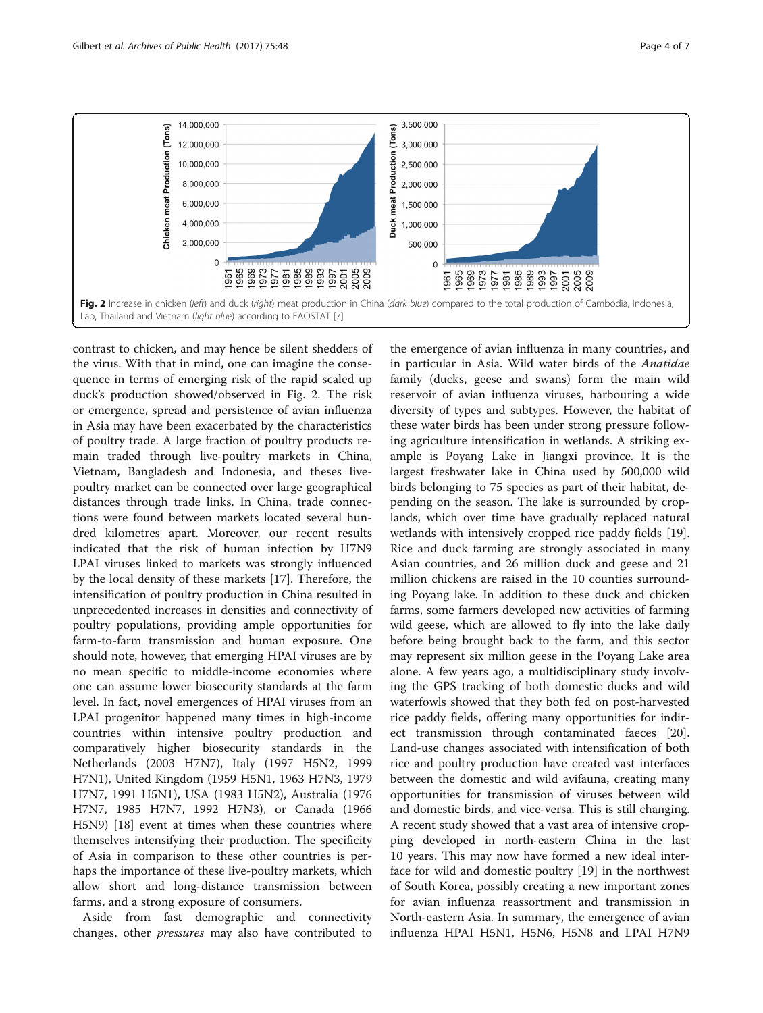<span id="page-3-0"></span>

contrast to chicken, and may hence be silent shedders of the virus. With that in mind, one can imagine the consequence in terms of emerging risk of the rapid scaled up duck's production showed/observed in Fig. 2. The risk or emergence, spread and persistence of avian influenza in Asia may have been exacerbated by the characteristics of poultry trade. A large fraction of poultry products remain traded through live-poultry markets in China, Vietnam, Bangladesh and Indonesia, and theses livepoultry market can be connected over large geographical distances through trade links. In China, trade connections were found between markets located several hundred kilometres apart. Moreover, our recent results indicated that the risk of human infection by H7N9 LPAI viruses linked to markets was strongly influenced by the local density of these markets [[17\]](#page-6-0). Therefore, the intensification of poultry production in China resulted in unprecedented increases in densities and connectivity of poultry populations, providing ample opportunities for farm-to-farm transmission and human exposure. One should note, however, that emerging HPAI viruses are by no mean specific to middle-income economies where one can assume lower biosecurity standards at the farm level. In fact, novel emergences of HPAI viruses from an LPAI progenitor happened many times in high-income countries within intensive poultry production and comparatively higher biosecurity standards in the Netherlands (2003 H7N7), Italy (1997 H5N2, 1999 H7N1), United Kingdom (1959 H5N1, 1963 H7N3, 1979 H7N7, 1991 H5N1), USA (1983 H5N2), Australia (1976 H7N7, 1985 H7N7, 1992 H7N3), or Canada (1966 H5N9) [[18\]](#page-6-0) event at times when these countries where themselves intensifying their production. The specificity of Asia in comparison to these other countries is perhaps the importance of these live-poultry markets, which allow short and long-distance transmission between farms, and a strong exposure of consumers.

Aside from fast demographic and connectivity changes, other pressures may also have contributed to

the emergence of avian influenza in many countries, and in particular in Asia. Wild water birds of the Anatidae family (ducks, geese and swans) form the main wild reservoir of avian influenza viruses, harbouring a wide diversity of types and subtypes. However, the habitat of these water birds has been under strong pressure following agriculture intensification in wetlands. A striking example is Poyang Lake in Jiangxi province. It is the largest freshwater lake in China used by 500,000 wild birds belonging to 75 species as part of their habitat, depending on the season. The lake is surrounded by croplands, which over time have gradually replaced natural wetlands with intensively cropped rice paddy fields [\[19](#page-6-0)]. Rice and duck farming are strongly associated in many Asian countries, and 26 million duck and geese and 21 million chickens are raised in the 10 counties surrounding Poyang lake. In addition to these duck and chicken farms, some farmers developed new activities of farming wild geese, which are allowed to fly into the lake daily before being brought back to the farm, and this sector may represent six million geese in the Poyang Lake area alone. A few years ago, a multidisciplinary study involving the GPS tracking of both domestic ducks and wild waterfowls showed that they both fed on post-harvested rice paddy fields, offering many opportunities for indirect transmission through contaminated faeces [\[20](#page-6-0)]. Land-use changes associated with intensification of both rice and poultry production have created vast interfaces between the domestic and wild avifauna, creating many opportunities for transmission of viruses between wild and domestic birds, and vice-versa. This is still changing. A recent study showed that a vast area of intensive cropping developed in north-eastern China in the last 10 years. This may now have formed a new ideal interface for wild and domestic poultry [[19\]](#page-6-0) in the northwest of South Korea, possibly creating a new important zones for avian influenza reassortment and transmission in North-eastern Asia. In summary, the emergence of avian influenza HPAI H5N1, H5N6, H5N8 and LPAI H7N9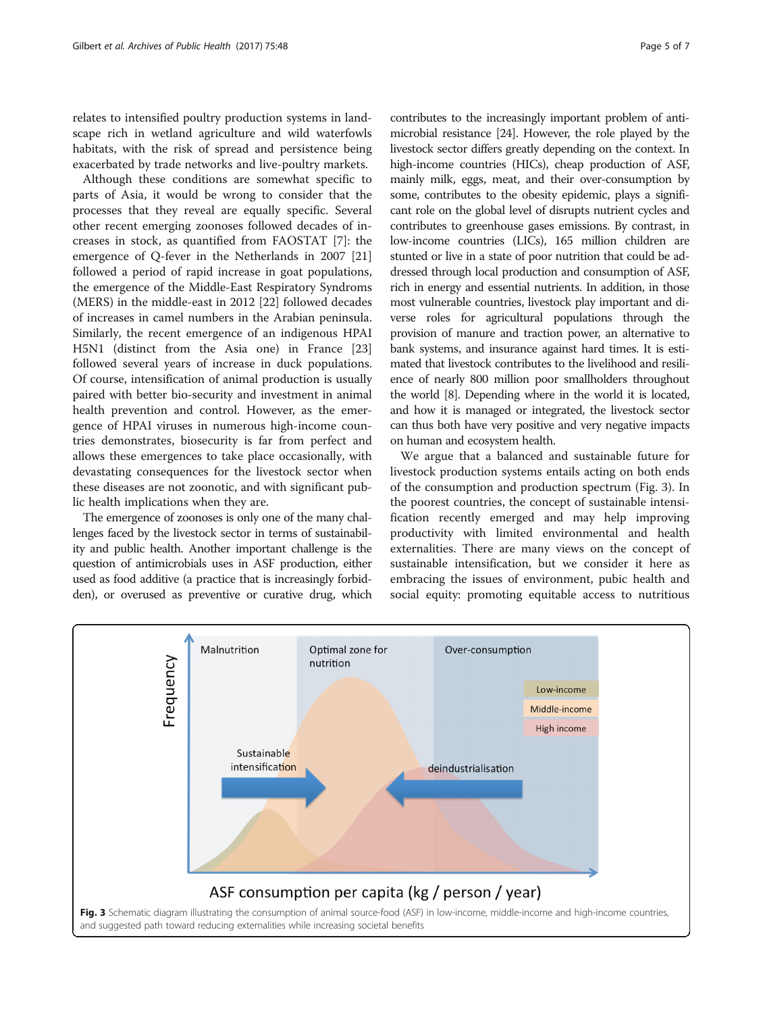relates to intensified poultry production systems in landscape rich in wetland agriculture and wild waterfowls habitats, with the risk of spread and persistence being exacerbated by trade networks and live-poultry markets.

Although these conditions are somewhat specific to parts of Asia, it would be wrong to consider that the processes that they reveal are equally specific. Several other recent emerging zoonoses followed decades of increases in stock, as quantified from FAOSTAT [\[7](#page-5-0)]: the emergence of Q-fever in the Netherlands in 2007 [[21](#page-6-0)] followed a period of rapid increase in goat populations, the emergence of the Middle-East Respiratory Syndroms (MERS) in the middle-east in 2012 [\[22](#page-6-0)] followed decades of increases in camel numbers in the Arabian peninsula. Similarly, the recent emergence of an indigenous HPAI H5N1 (distinct from the Asia one) in France [[23](#page-6-0)] followed several years of increase in duck populations. Of course, intensification of animal production is usually paired with better bio-security and investment in animal health prevention and control. However, as the emergence of HPAI viruses in numerous high-income countries demonstrates, biosecurity is far from perfect and allows these emergences to take place occasionally, with devastating consequences for the livestock sector when these diseases are not zoonotic, and with significant public health implications when they are.

The emergence of zoonoses is only one of the many challenges faced by the livestock sector in terms of sustainability and public health. Another important challenge is the question of antimicrobials uses in ASF production, either used as food additive (a practice that is increasingly forbidden), or overused as preventive or curative drug, which contributes to the increasingly important problem of antimicrobial resistance [\[24\]](#page-6-0). However, the role played by the livestock sector differs greatly depending on the context. In high-income countries (HICs), cheap production of ASF, mainly milk, eggs, meat, and their over-consumption by some, contributes to the obesity epidemic, plays a significant role on the global level of disrupts nutrient cycles and contributes to greenhouse gases emissions. By contrast, in low-income countries (LICs), 165 million children are stunted or live in a state of poor nutrition that could be addressed through local production and consumption of ASF, rich in energy and essential nutrients. In addition, in those most vulnerable countries, livestock play important and diverse roles for agricultural populations through the provision of manure and traction power, an alternative to bank systems, and insurance against hard times. It is estimated that livestock contributes to the livelihood and resilience of nearly 800 million poor smallholders throughout the world [[8](#page-5-0)]. Depending where in the world it is located, and how it is managed or integrated, the livestock sector can thus both have very positive and very negative impacts on human and ecosystem health.

We argue that a balanced and sustainable future for livestock production systems entails acting on both ends of the consumption and production spectrum (Fig. 3). In the poorest countries, the concept of sustainable intensification recently emerged and may help improving productivity with limited environmental and health externalities. There are many views on the concept of sustainable intensification, but we consider it here as embracing the issues of environment, pubic health and social equity: promoting equitable access to nutritious

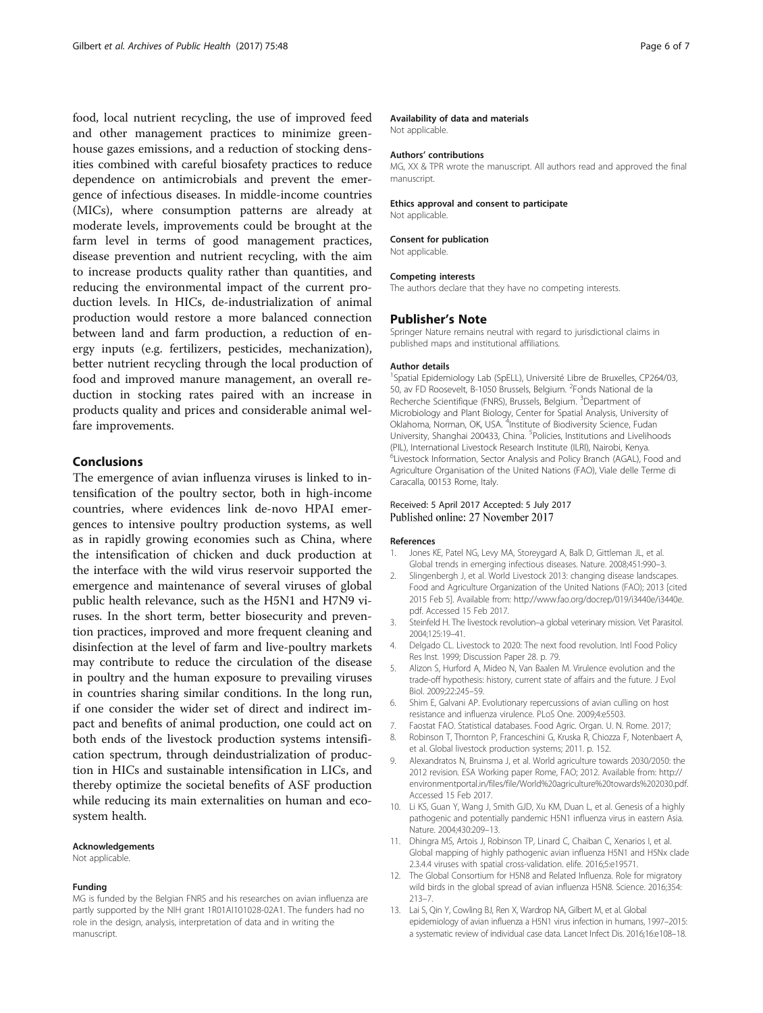<span id="page-5-0"></span>food, local nutrient recycling, the use of improved feed and other management practices to minimize greenhouse gazes emissions, and a reduction of stocking densities combined with careful biosafety practices to reduce dependence on antimicrobials and prevent the emergence of infectious diseases. In middle-income countries (MICs), where consumption patterns are already at moderate levels, improvements could be brought at the farm level in terms of good management practices, disease prevention and nutrient recycling, with the aim to increase products quality rather than quantities, and reducing the environmental impact of the current production levels. In HICs, de-industrialization of animal production would restore a more balanced connection between land and farm production, a reduction of energy inputs (e.g. fertilizers, pesticides, mechanization), better nutrient recycling through the local production of food and improved manure management, an overall reduction in stocking rates paired with an increase in products quality and prices and considerable animal welfare improvements.

## Conclusions

The emergence of avian influenza viruses is linked to intensification of the poultry sector, both in high-income countries, where evidences link de-novo HPAI emergences to intensive poultry production systems, as well as in rapidly growing economies such as China, where the intensification of chicken and duck production at the interface with the wild virus reservoir supported the emergence and maintenance of several viruses of global public health relevance, such as the H5N1 and H7N9 viruses. In the short term, better biosecurity and prevention practices, improved and more frequent cleaning and disinfection at the level of farm and live-poultry markets may contribute to reduce the circulation of the disease in poultry and the human exposure to prevailing viruses in countries sharing similar conditions. In the long run, if one consider the wider set of direct and indirect impact and benefits of animal production, one could act on both ends of the livestock production systems intensification spectrum, through deindustrialization of production in HICs and sustainable intensification in LICs, and thereby optimize the societal benefits of ASF production while reducing its main externalities on human and ecosystem health.

#### Acknowledgements

Not applicable.

#### Funding

MG is funded by the Belgian FNRS and his researches on avian influenza are partly supported by the NIH grant 1R01AI101028-02A1. The funders had no role in the design, analysis, interpretation of data and in writing the manuscript.

#### Availability of data and materials

Not applicable.

#### Authors' contributions

MG, XX & TPR wrote the manuscript. All authors read and approved the final manuscript.

#### Ethics approval and consent to participate Not applicable.

## Consent for publication

Not applicable.

#### Competing interests

The authors declare that they have no competing interests.

#### Publisher's Note

Springer Nature remains neutral with regard to jurisdictional claims in published maps and institutional affiliations.

#### Author details

<sup>1</sup>Spatial Epidemiology Lab (SpELL), Université Libre de Bruxelles, CP264/03 50, av FD Roosevelt, B-1050 Brussels, Belgium. <sup>2</sup>Fonds National de la Recherche Scientifique (FNRS), Brussels, Belgium. <sup>3</sup>Department of Microbiology and Plant Biology, Center for Spatial Analysis, University of Oklahoma, Norman, OK, USA. <sup>4</sup>Institute of Biodiversity Science, Fudan University, Shanghai 200433, China. <sup>5</sup>Policies, Institutions and Livelihoods (PIL), International Livestock Research Institute (ILRI), Nairobi, Kenya. 6 Livestock Information, Sector Analysis and Policy Branch (AGAL), Food and Agriculture Organisation of the United Nations (FAO), Viale delle Terme di Caracalla, 00153 Rome, Italy.

## Received: 5 April 2017 Accepted: 5 July 2017 Published online: 27 November 2017

#### References

- 1. Jones KE, Patel NG, Levy MA, Storeygard A, Balk D, Gittleman JL, et al. Global trends in emerging infectious diseases. Nature. 2008;451:990–3.
- 2. Slingenbergh J, et al. World Livestock 2013: changing disease landscapes. Food and Agriculture Organization of the United Nations (FAO); 2013 [cited 2015 Feb 5]. Available from: [http://www.fao.org/docrep/019/i3440e/i3440e.](http://www.fao.org/docrep/019/i3440e/i3440e.pdf) [pdf](http://www.fao.org/docrep/019/i3440e/i3440e.pdf). Accessed 15 Feb 2017.
- 3. Steinfeld H. The livestock revolution–a global veterinary mission. Vet Parasitol. 2004;125:19–41.
- 4. Delgado CL. Livestock to 2020: The next food revolution. Intl Food Policy Res Inst. 1999; Discussion Paper 28. p. 79.
- 5. Alizon S, Hurford A, Mideo N, Van Baalen M. Virulence evolution and the trade-off hypothesis: history, current state of affairs and the future. J Evol Biol. 2009;22:245–59.
- 6. Shim E, Galvani AP. Evolutionary repercussions of avian culling on host resistance and influenza virulence. PLoS One. 2009;4:e5503.
- 7. Faostat FAO. Statistical databases. Food Agric. Organ. U. N. Rome. 2017;
- 8. Robinson T, Thornton P, Franceschini G, Kruska R, Chiozza F, Notenbaert A, et al. Global livestock production systems; 2011. p. 152.
- 9. Alexandratos N, Bruinsma J, et al. World agriculture towards 2030/2050: the 2012 revision. ESA Working paper Rome, FAO; 2012. Available from: [http://](http://environmentportal.in/files/file/World%20agriculture%20towards%202030.pdf) [environmentportal.in/files/file/World%20agriculture%20towards%202030.pdf](http://environmentportal.in/files/file/World%20agriculture%20towards%202030.pdf). Accessed 15 Feb 2017.
- 10. Li KS, Guan Y, Wang J, Smith GJD, Xu KM, Duan L, et al. Genesis of a highly pathogenic and potentially pandemic H5N1 influenza virus in eastern Asia. Nature. 2004;430:209–13.
- 11. Dhingra MS, Artois J, Robinson TP, Linard C, Chaiban C, Xenarios I, et al. Global mapping of highly pathogenic avian influenza H5N1 and H5Nx clade 2.3.4.4 viruses with spatial cross-validation. elife. 2016;5:e19571.
- 12. The Global Consortium for H5N8 and Related Influenza. Role for migratory wild birds in the global spread of avian influenza H5N8. Science. 2016;354: 213–7.
- 13. Lai S, Qin Y, Cowling BJ, Ren X, Wardrop NA, Gilbert M, et al. Global epidemiology of avian influenza a H5N1 virus infection in humans, 1997–2015: a systematic review of individual case data. Lancet Infect Dis. 2016;16:e108–18.